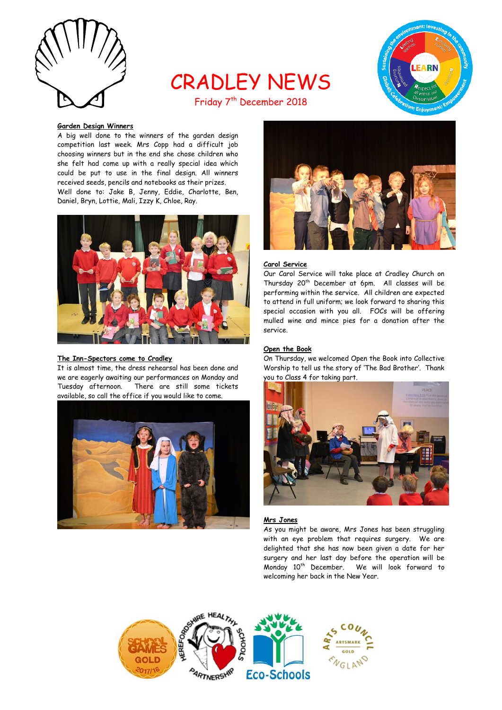

# CRADLEY NEWS Friday 7<sup>th</sup> December 2018



## **Garden Design Winners**

A big well done to the winners of the garden design competition last week. Mrs Copp had a difficult job choosing winners but in the end she chose children who she felt had come up with a really special idea which could be put to use in the final design. All winners received seeds, pencils and notebooks as their prizes. Well done to: Jake B, Jenny, Eddie, Charlotte, Ben, Daniel, Bryn, Lottie, Mali, Izzy K, Chloe, Ray.



#### **The Inn-Spectors come to Cradley**

It is almost time, the dress rehearsal has been done and we are eagerly awaiting our performances on Monday and Tuesday afternoon. There are still some tickets available, so call the office if you would like to come.





### **Carol Service**

Our Carol Service will take place at Cradley Church on Thursday 20<sup>th</sup> December at 6pm. All classes will be performing within the service. All children are expected to attend in full uniform; we look forward to sharing this special occasion with you all. FOCs will be offering mulled wine and mince pies for a donation after the service.

## **Open the Book**

On Thursday, we welcomed Open the Book into Collective Worship to tell us the story of 'The Bad Brother'. Thank you to Class 4 for taking part.



## **Mrs Jones**

As you might be aware, Mrs Jones has been struggling with an eye problem that requires surgery. We are delighted that she has now been given a date for her surgery and her last day before the operation will be Monday 10th December. We will look forward to welcoming her back in the New Year.

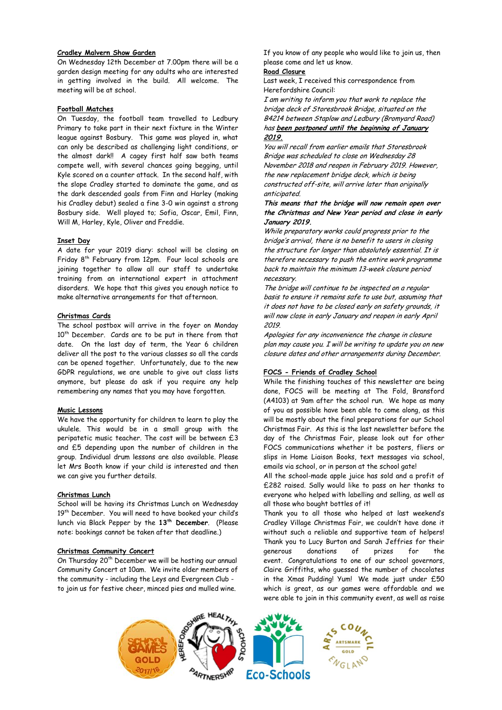## **Cradley Malvern Show Garden**

On Wednesday 12th December at 7.00pm there will be a garden design meeting for any adults who are interested in getting involved in the build. All welcome. The meeting will be at school.

#### **Football Matches**

On Tuesday, the football team travelled to Ledbury Primary to take part in their next fixture in the Winter league against Bosbury. This game was played in, what can only be described as challenging light conditions, or the almost dark!! A cagey first half saw both teams compete well, with several chances going begging, until Kyle scored on a counter attack. In the second half, with the slope Cradley started to dominate the game, and as the dark descended goals from Finn and Harley (making his Cradley debut) sealed a fine 3-0 win against a strong Bosbury side. Well played to; Sofia, Oscar, Emil, Finn, Will M, Harley, Kyle, Oliver and Freddie.

## **Inset Day**

A date for your 2019 diary: school will be closing on Friday  $8<sup>th</sup>$  February from 12pm. Four local schools are joining together to allow all our staff to undertake training from an international expert in attachment disorders. We hope that this gives you enough notice to make alternative arrangements for that afternoon.

## **Christmas Cards**

The school postbox will arrive in the foyer on Monday 10<sup>th</sup> December. Cards are to be put in there from that date. On the last day of term, the Year 6 children deliver all the post to the various classes so all the cards can be opened together. Unfortunately, due to the new GDPR regulations, we are unable to give out class lists anymore, but please do ask if you require any help remembering any names that you may have forgotten.

## **Music Lessons**

We have the opportunity for children to learn to play the ukulele. This would be in a small group with the peripatetic music teacher. The cost will be between £3 and £5 depending upon the number of children in the group. Individual drum lessons are also available. Please let Mrs Booth know if your child is interested and then we can give you further details.

#### **Christmas Lunch**

School will be having its Christmas Lunch on Wednesday 19<sup>th</sup> December. You will need to have booked your child's lunch via Black Pepper by the **13th December**. (Please note: bookings cannot be taken after that deadline.)

#### **Christmas Community Concert**

On Thursday 20<sup>th</sup> December we will be hosting our annual Community Concert at 10am. We invite older members of the community - including the Leys and Evergreen Club to join us for festive cheer, minced pies and mulled wine.

If you know of any people who would like to join us, then please come and let us know.

## **Road Closure**

Last week, I received this correspondence from Herefordshire Council:

I am writing to inform you that work to replace the bridge deck of Storesbrook Bridge, situated on the B4214 between Staplow and Ledbury (Bromyard Road) has **been postponed until the beginning of January 2019.**

You will recall from earlier emails that Storesbrook Bridge was scheduled to close on Wednesday 28 November 2018 and reopen in February 2019. However, the new replacement bridge deck, which is being constructed off-site, will arrive later than originally anticipated.

## **This means that the bridge will now remain open over the Christmas and New Year period and close in early January 2019.**

While preparatory works could progress prior to the bridge's arrival, there is no benefit to users in closing the structure for longer than absolutely essential. It is therefore necessary to push the entire work programme back to maintain the minimum 13-week closure period necessary.

The bridge will continue to be inspected on a regular basis to ensure it remains safe to use but, assuming that it does not have to be closed early on safety grounds, it will now close in early January and reopen in early April 2019.

Apologies for any inconvenience the change in closure plan may cause you. I will be writing to update you on new closure dates and other arrangements during December.

## **FOCS - Friends of Cradley School**

While the finishing touches of this newsletter are being done, FOCS will be meeting at The Fold, Bransford (A4103) at 9am after the school run. We hope as many of you as possible have been able to come along, as this will be mostly about the final preparations for our School Christmas Fair. As this is the last newsletter before the day of the Christmas Fair, please look out for other FOCS communications whether it be posters, fliers or slips in Home Liaison Books, text messages via school, emails via school, or in person at the school gate!

All the school-made apple juice has sold and a profit of £282 raised. Sally would like to pass on her thanks to everyone who helped with labelling and selling, as well as all those who bought bottles of it!

Thank you to all those who helped at last weekend's Cradley Village Christmas Fair, we couldn't have done it without such a reliable and supportive team of helpers! Thank you to Lucy Burton and Sarah Jeffries for their generous donations of prizes for the event. Congratulations to one of our school governors, Claire Griffiths, who guessed the number of chocolates in the Xmas Pudding! Yum! We made just under £50 which is great, as our games were affordable and we were able to join in this community event, as well as raise

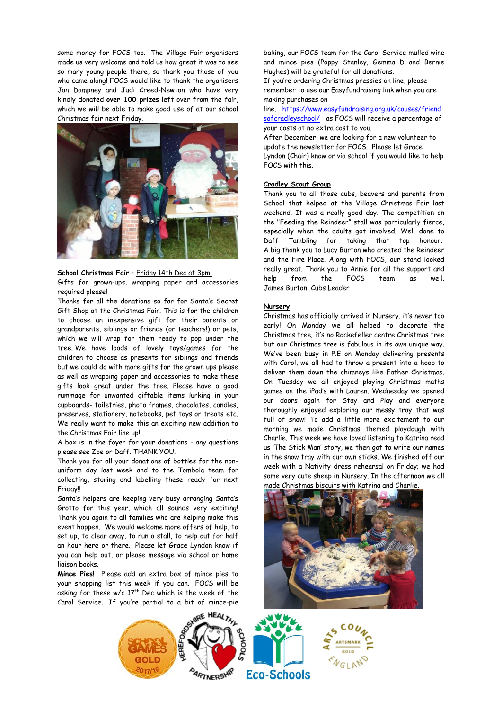some money for FOCS too. The Village Fair organisers made us very welcome and told us how great it was to see so many young people there, so thank you those of you who came along! FOCS would like to thank the organisers Jan Dampney and Judi Creed-Newton who have very kindly donated **over 100 prizes** left over from the fair, which we will be able to make good use of at our school Christmas fair next Friday.



## **School Christmas Fair** – Friday 14th Dec at 3pm.

Gifts for grown-ups, wrapping paper and accessories required please!

Thanks for all the donations so far for Santa's Secret Gift Shop at the Christmas Fair. This is for the children to choose an inexpensive gift for their parents or grandparents, siblings or friends (or teachers!) or pets, which we will wrap for them ready to pop under the tree. We have loads of lovely toys/games for the children to choose as presents for siblings and friends but we could do with more gifts for the grown ups please as well as wrapping paper and accessories to make these gifts look great under the tree. Please have a good rummage for unwanted giftable items lurking in your cupboards- toiletries, photo frames, chocolates, candles, preserves, stationery, notebooks, pet toys or treats etc. We really want to make this an exciting new addition to the Christmas Fair line up!

A box is in the foyer for your donations - any questions please see Zoe or Daff. THANK YOU.

Thank you for all your donations of bottles for the nonuniform day last week and to the Tombola team for collecting, storing and labelling these ready for next Friday!!

Santa's helpers are keeping very busy arranging Santa's Grotto for this year, which all sounds very exciting! Thank you again to all families who are helping make this event happen. We would welcome more offers of help, to set up, to clear away, to run a stall, to help out for half an hour here or there. Please let Grace Lyndon know if you can help out, or please message via school or home liaison books.

**Mince Pies!** Please add an extra box of mince pies to your shopping list this week if you can. FOCS will be asking for these  $w/c$  17<sup>th</sup> Dec which is the week of the Carol Service. If you're partial to a bit of mince-pie baking, our FOCS team for the Carol Service mulled wine and mince pies (Poppy Stanley, Gemma D and Bernie Hughes) will be grateful for all donations.

If you're ordering Christmas pressies on line, please remember to use our Easyfundraising link when you are making purchases on

line. [https://www.easyfundraising.org.uk/causes/friend](https://www.easyfundraising.org.uk/causes/friendsofcradleyschool/) [sofcradleyschool/](https://www.easyfundraising.org.uk/causes/friendsofcradleyschool/) as FOCS will receive a percentage of your costs at no extra cost to you.

After December, we are looking for a new volunteer to update the newsletter for FOCS. Please let Grace Lyndon (Chair) know or via school if you would like to help FOCS with this.

#### **Cradley Scout Group**

Thank you to all those cubs, beavers and parents from School that helped at the Village Christmas Fair last weekend. It was a really good day. The competition on the "Feeding the Reindeer" stall was particularly fierce, especially when the adults got involved. Well done to Daff Tambling for taking that top honour. A big thank you to Lucy Burton who created the Reindeer and the Fire Place. Along with FOCS, our stand looked really great. Thank you to Annie for all the support and help from the FOCS team as well. James Burton, Cubs Leader

#### **Nursery**

Christmas has officially arrived in Nursery, it's never too early! On Monday we all helped to decorate the Christmas tree, it's no Rockefeller centre Christmas tree but our Christmas tree is fabulous in its own unique way. We've been busy in P.E on Monday delivering presents with Carol, we all had to throw a present into a hoop to deliver them down the chimneys like Father Christmas. On Tuesday we all enjoyed playing Christmas maths games on the iPad's with Lauren. Wednesday we opened our doors again for Stay and Play and everyone thoroughly enjoyed exploring our messy tray that was full of snow! To add a little more excitement to our morning we made Christmas themed playdough with Charlie. This week we have loved listening to Katrina read us 'The Stick Man' story, we then got to write our names in the snow tray with our own sticks. We finished off our week with a Nativity dress rehearsal on Friday; we had some very cute sheep in Nursery. In the afternoon we all made Christmas biscuits with Katrina and Charlie.



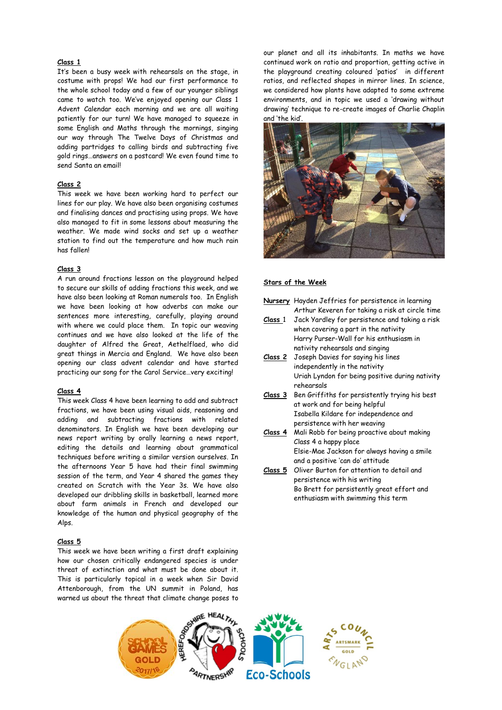## **Class 1**

It's been a busy week with rehearsals on the stage, in costume with props! We had our first performance to the whole school today and a few of our younger siblings came to watch too. We've enjoyed opening our Class 1 Advent Calendar each morning and we are all waiting patiently for our turn! We have managed to squeeze in some English and Maths through the mornings, singing our way through The Twelve Days of Christmas and adding partridges to calling birds and subtracting five gold rings…answers on a postcard! We even found time to send Santa an email!

### **Class 2**

This week we have been working hard to perfect our lines for our play. We have also been organising costumes and finalising dances and practising using props. We have also managed to fit in some lessons about measuring the weather. We made wind socks and set up a weather station to find out the temperature and how much rain has fallen!

#### **Class 3**

A run around fractions lesson on the playground helped to secure our skills of adding fractions this week, and we have also been looking at Roman numerals too. In English we have been looking at how adverbs can make our sentences more interesting, carefully, playing around with where we could place them. In topic our weaving continues and we have also looked at the life of the daughter of Alfred the Great, Aethelflaed, who did great things in Mercia and England. We have also been opening our class advent calendar and have started practicing our song for the Carol Service…very exciting!

#### **Class 4**

This week Class 4 have been learning to add and subtract fractions, we have been using visual aids, reasoning and adding and subtracting fractions with related denominators. In English we have been developing our news report writing by orally learning a news report, editing the details and learning about grammatical techniques before writing a similar version ourselves. In the afternoons Year 5 have had their final swimming session of the term, and Year 4 shared the games they created on Scratch with the Year 3s. We have also developed our dribbling skills in basketball, learned more about farm animals in French and developed our knowledge of the human and physical geography of the Alps.

#### **Class 5**

This week we have been writing a first draft explaining how our chosen critically endangered species is under threat of extinction and what must be done about it. This is particularly topical in a week when Sir David Attenborough, from the UN summit in Poland, has warned us about the threat that climate change poses to

our planet and all its inhabitants. In maths we have continued work on ratio and proportion, getting active in the playground creating coloured 'patios' in different ratios, and reflected shapes in mirror lines. In science, we considered how plants have adapted to some extreme environments, and in topic we used a 'drawing without drawing' technique to re-create images of Charlie Chaplin and 'the kid'.



#### **Stars of the Week**

**Nursery** Hayden Jeffries for persistence in learning Arthur Keveren for taking a risk at circle time

- **Class** 1 Jack Yardley for persistence and taking a risk when covering a part in the nativity Harry Purser-Wall for his enthusiasm in nativity rehearsals and singing
- **Class 2** Joseph Davies for saying his lines independently in the nativity Uriah Lyndon for being positive during nativity rehearsals
- **Class 3** Ben Griffiths for persistently trying his best at work and for being helpful Isabella Kildare for independence and persistence with her weaving
- **Class 4** Mali Robb for being proactive about making Class 4 a happy place Elsie-Mae Jackson for always having a smile and a positive 'can do' attitude
- **Class 5** Oliver Burton for attention to detail and persistence with his writing Bo Brett for persistently great effort and enthusiasm with swimming this term